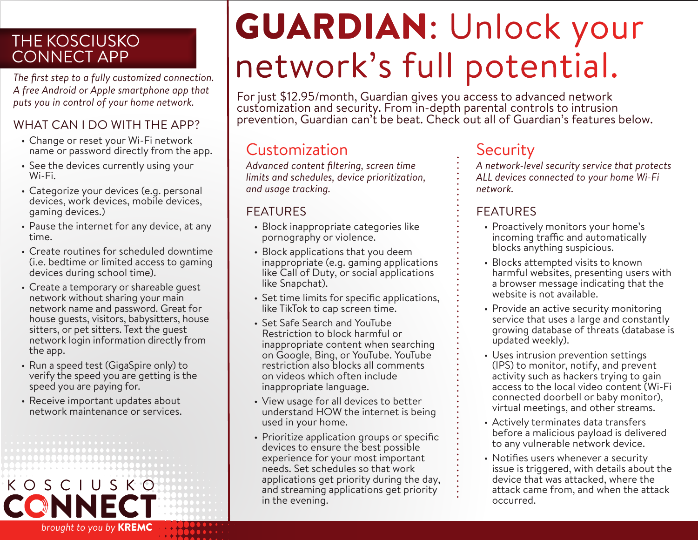### THE KOSCIUSKO CONNECT APP

*The first step to a fully customized connection. A free Android or Apple smartphone app that puts you in control of your home network.* 

### WHAT CAN I DO WITH THE APP?

- Change or reset your Wi-Fi network name or password directly from the app.
- See the devices currently using your Wi-Fi.
- Categorize your devices (e.g. personal devices, work devices, mobile devices, gaming devices.)
- Pause the internet for any device, at any time.
- Create routines for scheduled downtime (i.e. bedtime or limited access to gaming devices during school time).
- Create a temporary or shareable guest network without sharing your main network name and password. Great for house guests, visitors, babysitters, house sitters, or pet sitters. Text the guest network login information directly from the app.
- Run a speed test (GigaSpire only) to verify the speed you are getting is the speed you are paying for.
- Receive important updates about network maintenance or services.

*brought to you by* KREMC



# GUARDIAN: Unlock your network's full potential.

For just \$12.95/month, Guardian gives you access to advanced network customization and security. From in-depth parental controls to intrusion prevention, Guardian can't be beat. Check out all of Guardian's features below.

## **Customization** Security

*Advanced content filtering, screen time limits and schedules, device prioritization, and usage tracking.*

### FEATURES

- Block inappropriate categories like pornography or violence.
- Block applications that you deem inappropriate (e.g. gaming applications like Call of Duty, or social applications like Snapchat).
- Set time limits for specific applications, like TikTok to cap screen time.
- Set Safe Search and YouTube Restriction to block harmful or inappropriate content when searching on Google, Bing, or YouTube. YouTube restriction also blocks all comments on videos which often include inappropriate language.
- View usage for all devices to better understand HOW the internet is being used in your home.
- Prioritize application groups or specific devices to ensure the best possible experience for your most important needs. Set schedules so that work applications get priority during the day, and streaming applications get priority in the evening.

*A network-level security service that protects ALL devices connected to your home Wi-Fi network.* 

### FEATURES

- Proactively monitors your home's incoming traffic and automatically blocks anything suspicious.
- Blocks attempted visits to known harmful websites, presenting users with a browser message indicating that the website is not available.
- Provide an active security monitoring service that uses a large and constantly growing database of threats (database is updated weekly).
- Uses intrusion prevention settings (IPS) to monitor, notify, and prevent activity such as hackers trying to gain access to the local video content (Wi-Fi connected doorbell or baby monitor), virtual meetings, and other streams.
- Actively terminates data transfers before a malicious payload is delivered to any vulnerable network device.
- Notifies users whenever a security issue is triggered, with details about the device that was attacked, where the attack came from, and when the attack occurred.